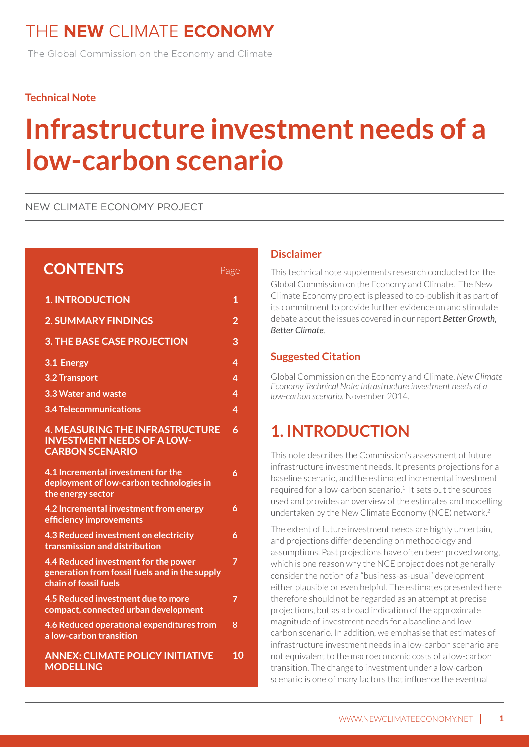The Global Commission on the Economy and Climate

#### **Technical Note**

# **Infrastructure investment needs of a low-carbon scenario**

#### NEW CLIMATE ECONOMY PROJECT

| <b>CONTENTS</b>                                                                                                 | Page           |
|-----------------------------------------------------------------------------------------------------------------|----------------|
| <b>1. INTRODUCTION</b>                                                                                          | $\mathbf 1$    |
| <b>2. SUMMARY FINDINGS</b>                                                                                      | $\overline{2}$ |
| <b>3. THE BASE CASE PROJECTION</b>                                                                              | 3              |
| 3.1 Energy                                                                                                      | 4              |
| <b>3.2 Transport</b>                                                                                            | 4              |
| 3.3 Water and waste                                                                                             | 4              |
| <b>3.4 Telecommunications</b>                                                                                   | 4              |
| <b>4. MEASURING THE INFRASTRUCTURE</b><br><b>INVESTMENT NEEDS OF A LOW-</b><br><b>CARBON SCENARIO</b>           | 6              |
| 4.1 Incremental investment for the<br>deployment of low-carbon technologies in<br>the energy sector             | 6              |
| 4.2 Incremental investment from energy<br>efficiency improvements                                               | 6              |
| 4.3 Reduced investment on electricity<br>transmission and distribution                                          | 6              |
| 4.4 Reduced investment for the power<br>generation from fossil fuels and in the supply<br>chain of fossil fuels | $\overline{7}$ |
| 4.5 Reduced investment due to more<br>compact, connected urban development                                      | 7              |
| 4.6 Reduced operational expenditures from<br>a low-carbon transition                                            | 8              |
| <b>ANNEX: CLIMATE POLICY INITIATIVE</b><br><b>MODELLING</b>                                                     | 10             |

#### **Disclaimer**

This technical note supplements research conducted for the Global Commission on the Economy and Climate. The New Climate Economy project is pleased to co-publish it as part of its commitment to provide further evidence on and stimulate debate about the issues covered in our report *Better Growth, Better Climate*.

#### **Suggested Citation**

Global Commission on the Economy and Climate. *New Climate Economy Technical Note: Infrastructure investment needs of a low-carbon scenario.* November 2014.

# **1. INTRODUCTION**

This note describes the Commission's assessment of future infrastructure investment needs. It presents projections for a baseline scenario, and the estimated incremental investment required for a low-carbon scenario.<sup>1</sup> It sets out the sources used and provides an overview of the estimates and modelling undertaken by the New Climate Economy (NCE) network.2

The extent of future investment needs are highly uncertain, and projections differ depending on methodology and assumptions. Past projections have often been proved wrong, which is one reason why the NCE project does not generally consider the notion of a "business-as-usual" development either plausible or even helpful. The estimates presented here therefore should not be regarded as an attempt at precise projections, but as a broad indication of the approximate magnitude of investment needs for a baseline and lowcarbon scenario. In addition, we emphasise that estimates of infrastructure investment needs in a low-carbon scenario are not equivalent to the macroeconomic costs of a low-carbon transition. The change to investment under a low-carbon scenario is one of many factors that influence the eventual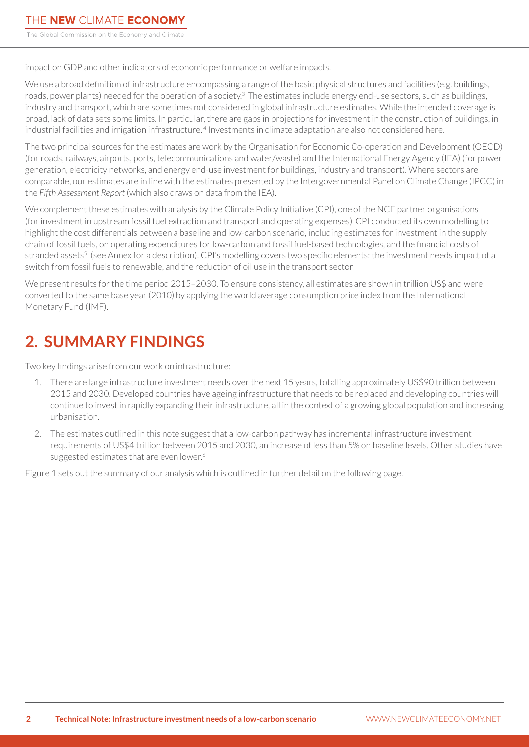<span id="page-1-0"></span>impact on GDP and other indicators of economic performance or welfare impacts.

We use a broad definition of infrastructure encompassing a range of the basic physical structures and facilities (e.g. buildings, roads, power plants) needed for the operation of a society.<sup>3</sup> The estimates include energy end-use sectors, such as buildings, industry and transport, which are sometimes not considered in global infrastructure estimates. While the intended coverage is broad, lack of data sets some limits. In particular, there are gaps in projections for investment in the construction of buildings, in industrial facilities and irrigation infrastructure.<sup>4</sup> Investments in climate adaptation are also not considered here.

The two principal sources for the estimates are work by the Organisation for Economic Co-operation and Development (OECD) (for roads, railways, airports, ports, telecommunications and water/waste) and the International Energy Agency (IEA) (for power generation, electricity networks, and energy end-use investment for buildings, industry and transport). Where sectors are comparable, our estimates are in line with the estimates presented by the Intergovernmental Panel on Climate Change (IPCC) in the *Fifth Assessment Report* (which also draws on data from the IEA).

We complement these estimates with analysis by the Climate Policy Initiative (CPI), one of the NCE partner organisations (for investment in upstream fossil fuel extraction and transport and operating expenses). CPI conducted its own modelling to highlight the cost differentials between a baseline and low-carbon scenario, including estimates for investment in the supply chain of fossil fuels, on operating expenditures for low-carbon and fossil fuel-based technologies, and the financial costs of stranded assets<sup>5</sup> (see Annex for a description). CPI's modelling covers two specific elements: the investment needs impact of a switch from fossil fuels to renewable, and the reduction of oil use in the transport sector.

We present results for the time period 2015–2030. To ensure consistency, all estimates are shown in trillion US\$ and were converted to the same base year (2010) by applying the world average consumption price index from the International Monetary Fund (IMF).

# **2. SUMMARY FINDINGS**

Two key findings arise from our work on infrastructure:

- 1. There are large infrastructure investment needs over the next 15 years, totalling approximately US\$90 trillion between 2015 and 2030. Developed countries have ageing infrastructure that needs to be replaced and developing countries will continue to invest in rapidly expanding their infrastructure, all in the context of a growing global population and increasing urbanisation.
- 2. The estimates outlined in this note suggest that a low-carbon pathway has incremental infrastructure investment requirements of US\$4 trillion between 2015 and 2030, an increase of less than 5% on baseline levels. Other studies have suggested estimates that are even lower.<sup>6</sup>

Figure 1 sets out the summary of our analysis which is outlined in further detail on the following page.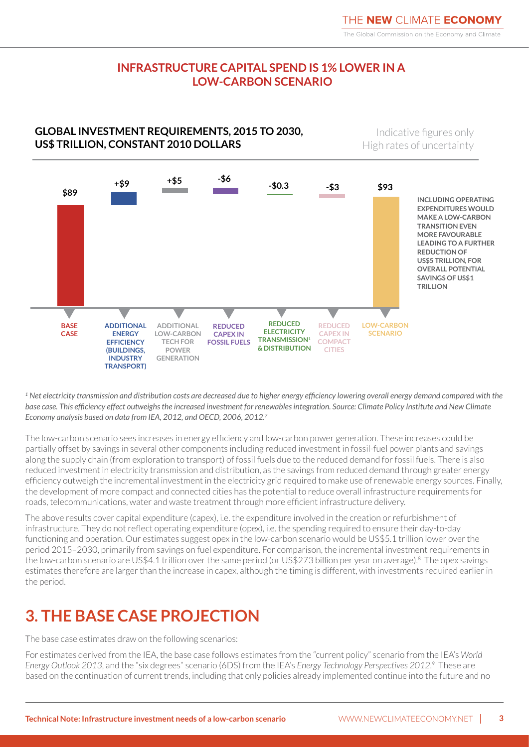### **INFRASTRUCTURE CAPITAL SPEND IS 1% LOWER IN A LOW-CARBON SCENARIO**

### <span id="page-2-0"></span>**GLOBAL INVESTMENT REQUIREMENTS, 2015 TO 2030, US\$ TRILLION, CONSTANT 2010 DOLLARS**

Indicative figures only High rates of uncertainty



*1 Net electricity transmission and distribution costs are decreased due to higher energy efficiency lowering overall energy demand compared with the*  base case. This efficiency effect outweighs the increased investment for renewables integration. Source: Climate Policy Institute and New Climate *Economy analysis based on data from IEA, 2012, and OECD, 2006, 2012.7*

The low-carbon scenario sees increases in energy efficiency and low-carbon power generation. These increases could be partially offset by savings in several other components including reduced investment in fossil-fuel power plants and savings along the supply chain (from exploration to transport) of fossil fuels due to the reduced demand for fossil fuels. There is also reduced investment in electricity transmission and distribution, as the savings from reduced demand through greater energy efficiency outweigh the incremental investment in the electricity grid required to make use of renewable energy sources. Finally, the development of more compact and connected cities has the potential to reduce overall infrastructure requirements for roads, telecommunications, water and waste treatment through more efficient infrastructure delivery.

The above results cover capital expenditure (capex), i.e. the expenditure involved in the creation or refurbishment of infrastructure. They do not reflect operating expenditure (opex), i.e. the spending required to ensure their day-to-day functioning and operation. Our estimates suggest opex in the low-carbon scenario would be US\$5.1 trillion lower over the period 2015–2030, primarily from savings on fuel expenditure. For comparison, the incremental investment requirements in the low-carbon scenario are US\$4.1 trillion over the same period (or US\$273 billion per year on average).<sup>8</sup> The opex savings estimates therefore are larger than the increase in capex, although the timing is different, with investments required earlier in the period.

# **3. THE BASE CASE PROJECTION**

The base case estimates draw on the following scenarios:

For estimates derived from the IEA, the base case follows estimates from the "current policy" scenario from the IEA's *World Energy Outlook 2013*, and the "six degrees" scenario (6DS) from the IEA's *Energy Technology Perspectives 2012*. 9 These are based on the continuation of current trends, including that only policies already implemented continue into the future and no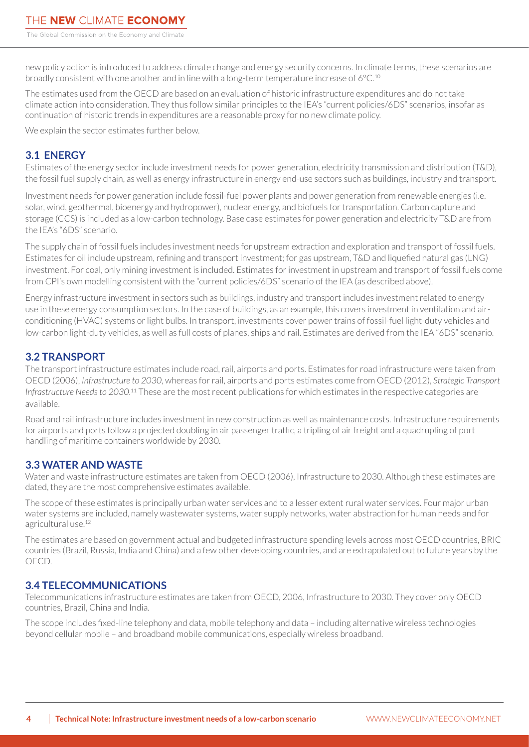<span id="page-3-0"></span>new policy action is introduced to address climate change and energy security concerns. In climate terms, these scenarios are broadly consistent with one another and in line with a long-term temperature increase of 6°C.10

The estimates used from the OECD are based on an evaluation of historic infrastructure expenditures and do not take climate action into consideration. They thus follow similar principles to the IEA's "current policies/6DS" scenarios, insofar as continuation of historic trends in expenditures are a reasonable proxy for no new climate policy.

We explain the sector estimates further below.

### **3.1 ENERGY**

Estimates of the energy sector include investment needs for power generation, electricity transmission and distribution (T&D), the fossil fuel supply chain, as well as energy infrastructure in energy end-use sectors such as buildings, industry and transport.

Investment needs for power generation include fossil-fuel power plants and power generation from renewable energies (i.e. solar, wind, geothermal, bioenergy and hydropower), nuclear energy, and biofuels for transportation. Carbon capture and storage (CCS) is included as a low-carbon technology. Base case estimates for power generation and electricity T&D are from the IEA's "6DS" scenario.

The supply chain of fossil fuels includes investment needs for upstream extraction and exploration and transport of fossil fuels. Estimates for oil include upstream, refining and transport investment; for gas upstream, T&D and liquefied natural gas (LNG) investment. For coal, only mining investment is included. Estimates for investment in upstream and transport of fossil fuels come from CPI's own modelling consistent with the "current policies/6DS" scenario of the IEA (as described above).

Energy infrastructure investment in sectors such as buildings, industry and transport includes investment related to energy use in these energy consumption sectors. In the case of buildings, as an example, this covers investment in ventilation and airconditioning (HVAC) systems or light bulbs. In transport, investments cover power trains of fossil-fuel light-duty vehicles and low-carbon light-duty vehicles, as well as full costs of planes, ships and rail. Estimates are derived from the IEA "6DS" scenario.

#### **3.2 TRANSPORT**

The transport infrastructure estimates include road, rail, airports and ports. Estimates for road infrastructure were taken from OECD (2006), *Infrastructure to 2030*, whereas for rail, airports and ports estimates come from OECD (2012), *Strategic Transport*  Infrastructure Needs to 2030.<sup>11</sup> These are the most recent publications for which estimates in the respective categories are available.

Road and rail infrastructure includes investment in new construction as well as maintenance costs. Infrastructure requirements for airports and ports follow a projected doubling in air passenger traffic, a tripling of air freight and a quadrupling of port handling of maritime containers worldwide by 2030.

#### **3.3 WATER AND WASTE**

Water and waste infrastructure estimates are taken from OECD (2006), Infrastructure to 2030. Although these estimates are dated, they are the most comprehensive estimates available.

The scope of these estimates is principally urban water services and to a lesser extent rural water services. Four major urban water systems are included, namely wastewater systems, water supply networks, water abstraction for human needs and for agricultural use.<sup>12</sup>

The estimates are based on government actual and budgeted infrastructure spending levels across most OECD countries, BRIC countries (Brazil, Russia, India and China) and a few other developing countries, and are extrapolated out to future years by the OECD.

### **3.4 TELECOMMUNICATIONS**

Telecommunications infrastructure estimates are taken from OECD, 2006, Infrastructure to 2030. They cover only OECD countries, Brazil, China and India.

The scope includes fixed-line telephony and data, mobile telephony and data – including alternative wireless technologies beyond cellular mobile – and broadband mobile communications, especially wireless broadband.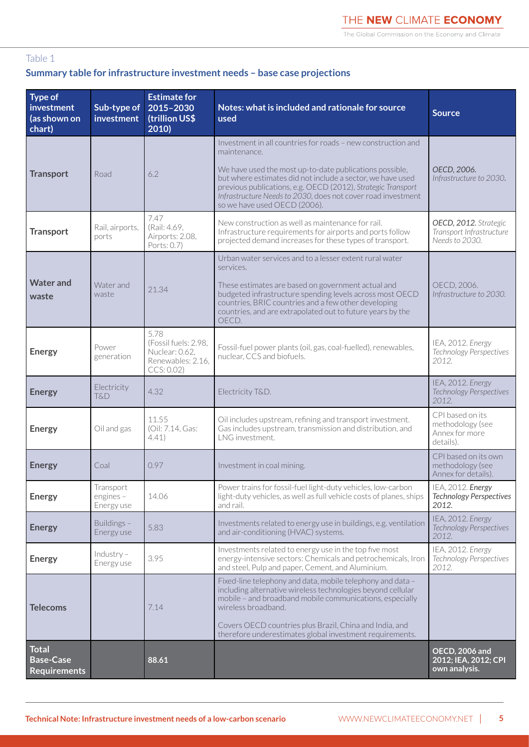The Global Commission on the Economy and Climate

#### Table 1

### **Summary table for infrastructure investment needs – base case projections**

| Type of<br>investment<br>(as shown on<br>chart)         | Sub-type of<br>investment              | <b>Estimate for</b><br>2015-2030<br>(trillion US\$<br>2010)                      | Notes: what is included and rationale for source<br>used                                                                                                                                                                                                                                                                                                              | <b>Source</b>                                                       |
|---------------------------------------------------------|----------------------------------------|----------------------------------------------------------------------------------|-----------------------------------------------------------------------------------------------------------------------------------------------------------------------------------------------------------------------------------------------------------------------------------------------------------------------------------------------------------------------|---------------------------------------------------------------------|
| <b>Transport</b>                                        | Road                                   | 6.2                                                                              | Investment in all countries for roads - new construction and<br>maintenance.<br>We have used the most up-to-date publications possible,<br>but where estimates did not include a sector, we have used<br>previous publications, e.g. OECD (2012), Strategic Transport<br>Infrastructure Needs to 2030, does not cover road investment<br>so we have used OECD (2006). | OECD, 2006.<br>Infrastructure to 2030.                              |
| <b>Transport</b>                                        | Rail, airports,<br>ports               | 7.47<br>(Rail: 4.69,<br>Airports: 2.08,<br>Ports: 0.7)                           | New construction as well as maintenance for rail.<br>Infrastructure requirements for airports and ports follow<br>projected demand increases for these types of transport.                                                                                                                                                                                            | OECD, 2012. Strategic<br>Transport Infrastructure<br>Needs to 2030. |
| <b>Water and</b><br>waste                               | Water and<br>waste                     | 21.34                                                                            | Urban water services and to a lesser extent rural water<br>services.<br>These estimates are based on government actual and<br>budgeted infrastructure spending levels across most OECD<br>countries, BRIC countries and a few other developing<br>countries, and are extrapolated out to future years by the<br>OECD.                                                 | OECD, 2006.<br>Infrastructure to 2030.                              |
| <b>Energy</b>                                           | Power<br>generation                    | 5.78<br>(Fossil fuels: 2.98,<br>Nuclear: 0.62,<br>Renewables: 2.16,<br>CCS: 0.02 | Fossil-fuel power plants (oil, gas, coal-fuelled), renewables,<br>nuclear, CCS and biofuels.                                                                                                                                                                                                                                                                          | IEA, 2012. Energy<br>Technology Perspectives<br>2012.               |
| <b>Energy</b>                                           | Electricity<br>T&D                     | 4.32                                                                             | Electricity T&D.                                                                                                                                                                                                                                                                                                                                                      | IEA, 2012. Energy<br>Technology Perspectives<br>2012.               |
| <b>Energy</b>                                           | Oil and gas                            | 11.55<br>(Oil: 7.14, Gas:<br>4.41)                                               | Oil includes upstream, refining and transport investment.<br>Gas includes upstream, transmission and distribution, and<br>LNG investment.                                                                                                                                                                                                                             | CPI based on its<br>methodology (see<br>Annex for more<br>details). |
| <b>Energy</b>                                           | Coal                                   | 0.97                                                                             | Investment in coal mining.                                                                                                                                                                                                                                                                                                                                            | CPI based on its own<br>methodology (see<br>Annex for details).     |
| <b>Energy</b>                                           | Transport<br>engines $-$<br>Energy use | 14.06                                                                            | Power trains for fossil-fuel light-duty vehicles, low-carbon<br>light-duty vehicles, as well as full vehicle costs of planes, ships<br>and rail.                                                                                                                                                                                                                      | IEA, 2012. Energy<br><b>Technology Perspectives</b><br>2012.        |
| <b>Energy</b>                                           | Buildings -<br>Energy use              | 5.83                                                                             | Investments related to energy use in buildings, e.g. ventilation<br>and air-conditioning (HVAC) systems.                                                                                                                                                                                                                                                              | IEA, 2012. Energy<br><b>Technology Perspectives</b><br>2012.        |
| <b>Energy</b>                                           | $Industry -$<br>Energy use             | 3.95                                                                             | Investments related to energy use in the top five most<br>energy-intensive sectors: Chemicals and petrochemicals, Iron<br>and steel, Pulp and paper, Cement, and Aluminium.                                                                                                                                                                                           | IEA, 2012. Energy<br><b>Technology Perspectives</b><br>2012.        |
| <b>Telecoms</b>                                         |                                        | 7.14                                                                             | Fixed-line telephony and data, mobile telephony and data -<br>including alternative wireless technologies beyond cellular<br>mobile - and broadband mobile communications, especially<br>wireless broadband.<br>Covers OECD countries plus Brazil, China and India, and<br>therefore underestimates global investment requirements.                                   |                                                                     |
| <b>Total</b><br><b>Base-Case</b><br><b>Requirements</b> |                                        | 88.61                                                                            |                                                                                                                                                                                                                                                                                                                                                                       | <b>OECD, 2006 and</b><br>2012; IEA, 2012; CPI<br>own analysis.      |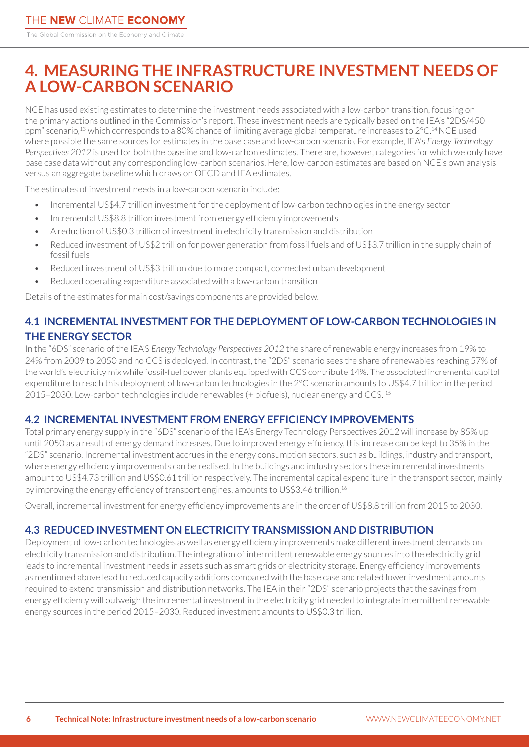# <span id="page-5-0"></span>**4. MEASURING THE INFRASTRUCTURE INVESTMENT NEEDS OF A LOW-CARBON SCENARIO**

NCE has used existing estimates to determine the investment needs associated with a low-carbon transition, focusing on the primary actions outlined in the Commission's report. These investment needs are typically based on the IEA's "2DS/450 ppm" scenario,<sup>13</sup> which corresponds to a 80% chance of limiting average global temperature increases to 2°C.<sup>14</sup> NCE used where possible the same sources for estimates in the base case and low-carbon scenario. For example, IEA's *Energy Technology Perspectives 2012* is used for both the baseline and low-carbon estimates. There are, however, categories for which we only have base case data without any corresponding low-carbon scenarios. Here, low-carbon estimates are based on NCE's own analysis versus an aggregate baseline which draws on OECD and IEA estimates.

The estimates of investment needs in a low-carbon scenario include:

- Incremental US\$4.7 trillion investment for the deployment of low-carbon technologies in the energy sector
- Incremental US\$8.8 trillion investment from energy efficiency improvements
- A reduction of US\$0.3 trillion of investment in electricity transmission and distribution
- Reduced investment of US\$2 trillion for power generation from fossil fuels and of US\$3.7 trillion in the supply chain of fossil fuels
- Reduced investment of US\$3 trillion due to more compact, connected urban development
- Reduced operating expenditure associated with a low-carbon transition

Details of the estimates for main cost/savings components are provided below.

### **4.1 INCREMENTAL INVESTMENT FOR THE DEPLOYMENT OF LOW-CARBON TECHNOLOGIES IN THE ENERGY SECTOR**

In the "6DS" scenario of the IEA'S *Energy Technology Perspectives 2012* the share of renewable energy increases from 19% to 24% from 2009 to 2050 and no CCS is deployed. In contrast, the "2DS" scenario sees the share of renewables reaching 57% of the world's electricity mix while fossil-fuel power plants equipped with CCS contribute 14%. The associated incremental capital expenditure to reach this deployment of low-carbon technologies in the 2°C scenario amounts to US\$4.7 trillion in the period 2015–2030. Low-carbon technologies include renewables (+ biofuels), nuclear energy and CCS. 15

#### **4.2 INCREMENTAL INVESTMENT FROM ENERGY EFFICIENCY IMPROVEMENTS**

Total primary energy supply in the "6DS" scenario of the IEA's Energy Technology Perspectives 2012 will increase by 85% up until 2050 as a result of energy demand increases. Due to improved energy efficiency, this increase can be kept to 35% in the "2DS" scenario. Incremental investment accrues in the energy consumption sectors, such as buildings, industry and transport, where energy efficiency improvements can be realised. In the buildings and industry sectors these incremental investments amount to US\$4.73 trillion and US\$0.61 trillion respectively. The incremental capital expenditure in the transport sector, mainly by improving the energy efficiency of transport engines, amounts to US\$3.46 trillion.<sup>16</sup>

Overall, incremental investment for energy efficiency improvements are in the order of US\$8.8 trillion from 2015 to 2030.

## **4.3 REDUCED INVESTMENT ON ELECTRICITY TRANSMISSION AND DISTRIBUTION**

Deployment of low-carbon technologies as well as energy efficiency improvements make different investment demands on electricity transmission and distribution. The integration of intermittent renewable energy sources into the electricity grid leads to incremental investment needs in assets such as smart grids or electricity storage. Energy efficiency improvements as mentioned above lead to reduced capacity additions compared with the base case and related lower investment amounts required to extend transmission and distribution networks. The IEA in their "2DS" scenario projects that the savings from energy efficiency will outweigh the incremental investment in the electricity grid needed to integrate intermittent renewable energy sources in the period 2015–2030. Reduced investment amounts to US\$0.3 trillion.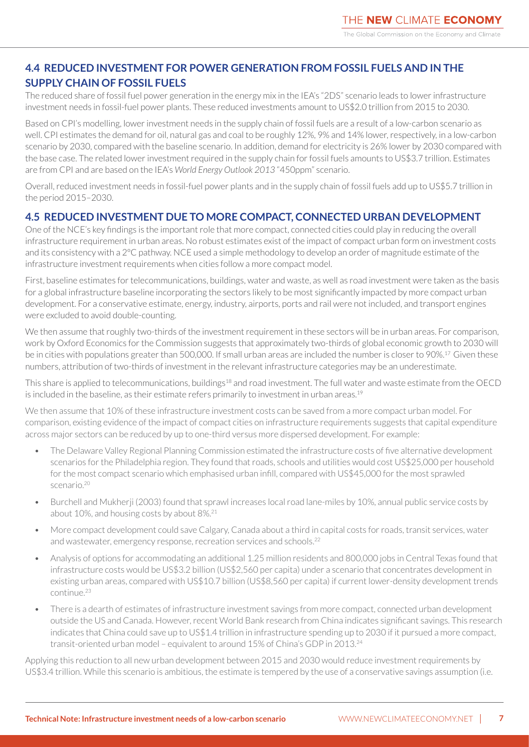### <span id="page-6-0"></span>**4.4 REDUCED INVESTMENT FOR POWER GENERATION FROM FOSSIL FUELS AND IN THE SUPPLY CHAIN OF FOSSIL FUELS**

The reduced share of fossil fuel power generation in the energy mix in the IEA's "2DS" scenario leads to lower infrastructure investment needs in fossil-fuel power plants. These reduced investments amount to US\$2.0 trillion from 2015 to 2030.

Based on CPI's modelling, lower investment needs in the supply chain of fossil fuels are a result of a low-carbon scenario as well. CPI estimates the demand for oil, natural gas and coal to be roughly 12%, 9% and 14% lower, respectively, in a low-carbon scenario by 2030, compared with the baseline scenario. In addition, demand for electricity is 26% lower by 2030 compared with the base case. The related lower investment required in the supply chain for fossil fuels amounts to US\$3.7 trillion. Estimates are from CPI and are based on the IEA's *World Energy Outlook 2013* "450ppm" scenario.

Overall, reduced investment needs in fossil-fuel power plants and in the supply chain of fossil fuels add up to US\$5.7 trillion in the period 2015–2030.

### **4.5 REDUCED INVESTMENT DUE TO MORE COMPACT, CONNECTED URBAN DEVELOPMENT**

One of the NCE's key findings is the important role that more compact, connected cities could play in reducing the overall infrastructure requirement in urban areas. No robust estimates exist of the impact of compact urban form on investment costs and its consistency with a 2°C pathway. NCE used a simple methodology to develop an order of magnitude estimate of the infrastructure investment requirements when cities follow a more compact model.

First, baseline estimates for telecommunications, buildings, water and waste, as well as road investment were taken as the basis for a global infrastructure baseline incorporating the sectors likely to be most significantly impacted by more compact urban development. For a conservative estimate, energy, industry, airports, ports and rail were not included, and transport engines were excluded to avoid double-counting.

We then assume that roughly two-thirds of the investment requirement in these sectors will be in urban areas. For comparison, work by Oxford Economics for the Commission suggests that approximately two-thirds of global economic growth to 2030 will be in cities with populations greater than 500,000. If small urban areas are included the number is closer to 90%.17 Given these numbers, attribution of two-thirds of investment in the relevant infrastructure categories may be an underestimate.

This share is applied to telecommunications, buildings<sup>18</sup> and road investment. The full water and waste estimate from the OECD is included in the baseline, as their estimate refers primarily to investment in urban areas.<sup>19</sup>

We then assume that 10% of these infrastructure investment costs can be saved from a more compact urban model. For comparison, existing evidence of the impact of compact cities on infrastructure requirements suggests that capital expenditure across major sectors can be reduced by up to one-third versus more dispersed development. For example:

- The Delaware Valley Regional Planning Commission estimated the infrastructure costs of five alternative development scenarios for the Philadelphia region. They found that roads, schools and utilities would cost US\$25,000 per household for the most compact scenario which emphasised urban infill, compared with US\$45,000 for the most sprawled scenario.20
- Burchell and Mukherji (2003) found that sprawl increases local road lane-miles by 10%, annual public service costs by about 10%, and housing costs by about 8%.21
- More compact development could save Calgary, Canada about a third in capital costs for roads, transit services, water and wastewater, emergency response, recreation services and schools.<sup>22</sup>
- Analysis of options for accommodating an additional 1.25 million residents and 800,000 jobs in Central Texas found that infrastructure costs would be US\$3.2 billion (US\$2,560 per capita) under a scenario that concentrates development in existing urban areas, compared with US\$10.7 billion (US\$8,560 per capita) if current lower-density development trends continue.23
- There is a dearth of estimates of infrastructure investment savings from more compact, connected urban development outside the US and Canada. However, recent World Bank research from China indicates significant savings. This research indicates that China could save up to US\$1.4 trillion in infrastructure spending up to 2030 if it pursued a more compact, transit-oriented urban model – equivalent to around 15% of China's GDP in 2013.24

Applying this reduction to all new urban development between 2015 and 2030 would reduce investment requirements by US\$3.4 trillion. While this scenario is ambitious, the estimate is tempered by the use of a conservative savings assumption (i.e.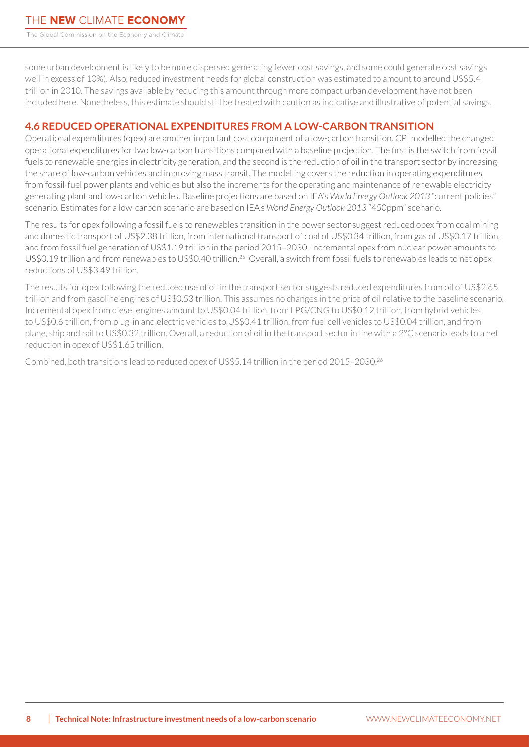<span id="page-7-0"></span>The Global Commission on the Economy and Climate

some urban development is likely to be more dispersed generating fewer cost savings, and some could generate cost savings well in excess of 10%). Also, reduced investment needs for global construction was estimated to amount to around US\$5.4 trillion in 2010. The savings available by reducing this amount through more compact urban development have not been included here. Nonetheless, this estimate should still be treated with caution as indicative and illustrative of potential savings.

#### **4.6 REDUCED OPERATIONAL EXPENDITURES FROM A LOW-CARBON TRANSITION**

Operational expenditures (opex) are another important cost component of a low-carbon transition. CPI modelled the changed operational expenditures for two low-carbon transitions compared with a baseline projection. The first is the switch from fossil fuels to renewable energies in electricity generation, and the second is the reduction of oil in the transport sector by increasing the share of low-carbon vehicles and improving mass transit. The modelling covers the reduction in operating expenditures from fossil-fuel power plants and vehicles but also the increments for the operating and maintenance of renewable electricity generating plant and low-carbon vehicles. Baseline projections are based on IEA's *World Energy Outlook 2013* "current policies" scenario. Estimates for a low-carbon scenario are based on IEA's *World Energy Outlook 2013* "450ppm" scenario.

The results for opex following a fossil fuels to renewables transition in the power sector suggest reduced opex from coal mining and domestic transport of US\$2.38 trillion, from international transport of coal of US\$0.34 trillion, from gas of US\$0.17 trillion, and from fossil fuel generation of US\$1.19 trillion in the period 2015–2030. Incremental opex from nuclear power amounts to US\$0.19 trillion and from renewables to US\$0.40 trillion.25 Overall, a switch from fossil fuels to renewables leads to net opex reductions of US\$3.49 trillion.

The results for opex following the reduced use of oil in the transport sector suggests reduced expenditures from oil of US\$2.65 trillion and from gasoline engines of US\$0.53 trillion. This assumes no changes in the price of oil relative to the baseline scenario. Incremental opex from diesel engines amount to US\$0.04 trillion, from LPG/CNG to US\$0.12 trillion, from hybrid vehicles to US\$0.6 trillion, from plug-in and electric vehicles to US\$0.41 trillion, from fuel cell vehicles to US\$0.04 trillion, and from plane, ship and rail to US\$0.32 trillion. Overall, a reduction of oil in the transport sector in line with a 2°C scenario leads to a net reduction in opex of US\$1.65 trillion.

Combined, both transitions lead to reduced opex of US\$5.14 trillion in the period 2015–2030.26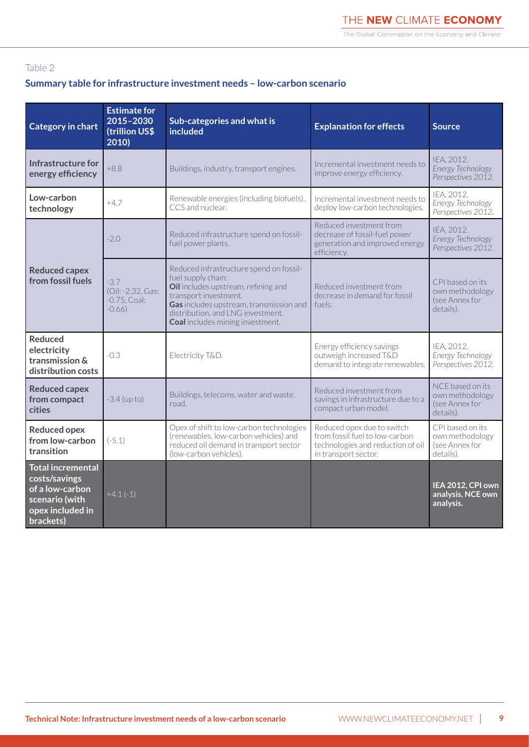#### Table 2

#### **Summary table for infrastructure investment needs – low-carbon scenario**

| <b>Category in chart</b>                                                                                                                                                                                                  | <b>Estimate for</b><br>2015-2030<br>(trillion US\$<br>2010) | Sub-categories and what is<br>included                                                                                                                                                                                                                   | <b>Explanation for effects</b>                                                                            | <b>Source</b>                                                      |
|---------------------------------------------------------------------------------------------------------------------------------------------------------------------------------------------------------------------------|-------------------------------------------------------------|----------------------------------------------------------------------------------------------------------------------------------------------------------------------------------------------------------------------------------------------------------|-----------------------------------------------------------------------------------------------------------|--------------------------------------------------------------------|
| Infrastructure for<br>energy efficiency                                                                                                                                                                                   | $+8.8$<br>Buildings, industry, transport engines.           |                                                                                                                                                                                                                                                          | Incremental investment needs to<br>improve energy efficiency.                                             | IEA, 2012.<br>Energy Technology<br>Perspectives 2012.              |
| Low-carbon<br>technology                                                                                                                                                                                                  | $+4.7$                                                      | Renewable energies (including biofuels),<br>CCS and nuclear.                                                                                                                                                                                             | Incremental investment needs to<br>deploy low-carbon technologies.                                        | IEA, 2012.<br>Energy Technology<br>Perspectives 2012.              |
|                                                                                                                                                                                                                           | $-2.0$                                                      | Reduced infrastructure spend on fossil-<br>fuel power plants.                                                                                                                                                                                            | Reduced investment from<br>decrease of fossil-fuel power<br>generation and improved energy<br>efficiency. | IEA, 2012.<br>Energy Technology<br>Perspectives 2012.              |
| <b>Reduced capex</b><br>from fossil fuels                                                                                                                                                                                 | $-3.7$<br>(Oil: -2.32, Gas:<br>$-0.75$ , Coal:<br>$-0.66$ ) | Reduced infrastructure spend on fossil-<br>fuel supply chain:<br>Oil includes upstream, refining and<br>transport investment.<br>Gas includes upstream, transmission and<br>distribution, and LNG investment.<br><b>Coal</b> includes mining investment. | Reduced investment from<br>decrease in demand for fossil<br>fuels.                                        | CPI based on its<br>own methodology<br>(see Annex for<br>details). |
| <b>Reduced</b><br>electricity<br>$-0.3$<br>Electricity T&D.<br>transmission &<br>distribution costs                                                                                                                       |                                                             |                                                                                                                                                                                                                                                          | Energy efficiency savings<br>outweigh increased T&D<br>demand to integrate renewables.                    | IEA. 2012.<br>Energy Technology<br>Perspectives 2012.              |
| <b>Reduced capex</b><br>Buildings, telecoms, water and waste,<br>from compact<br>$-3.4$ (up to)<br>road.<br>cities                                                                                                        |                                                             | Reduced investment from<br>savings in infrastructure due to a<br>compact urban model.                                                                                                                                                                    | NCE based on its<br>own methodology<br>(see Annex for<br>details).                                        |                                                                    |
| Opex of shift to low-carbon technologies<br><b>Reduced opex</b><br>(renewables, low-carbon vehicles) and<br>from low-carbon<br>$(-5.1)$<br>reduced oil demand in transport sector<br>transition<br>(low-carbon vehicles). |                                                             | Reduced opex due to switch<br>from fossil fuel to low-carbon<br>technologies and reduction of oil<br>in transport sector.                                                                                                                                | CPI based on its<br>own methodology<br>(see Annex for<br>details).                                        |                                                                    |
| <b>Total incremental</b><br>costs/savings<br>of a low-carbon<br>scenario (with<br>opex included in<br>brackets)                                                                                                           | $+4.1(-1)$                                                  |                                                                                                                                                                                                                                                          |                                                                                                           | IEA 2012, CPI own<br>analysis, NCE own<br>analysis.                |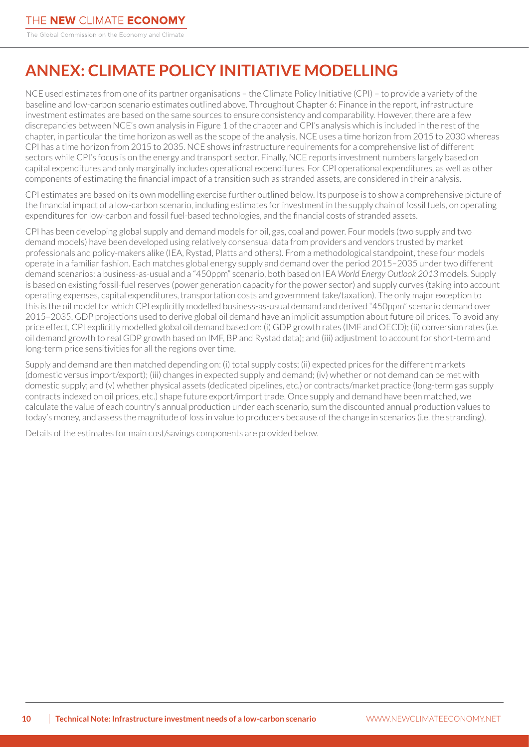# <span id="page-9-0"></span>**ANNEX: CLIMATE POLICY INITIATIVE MODELLING**

NCE used estimates from one of its partner organisations – the Climate Policy Initiative (CPI) – to provide a variety of the baseline and low-carbon scenario estimates outlined above. Throughout Chapter 6: Finance in the report, infrastructure investment estimates are based on the same sources to ensure consistency and comparability. However, there are a few discrepancies between NCE's own analysis in Figure 1 of the chapter and CPI's analysis which is included in the rest of the chapter, in particular the time horizon as well as the scope of the analysis. NCE uses a time horizon from 2015 to 2030 whereas CPI has a time horizon from 2015 to 2035. NCE shows infrastructure requirements for a comprehensive list of different sectors while CPI's focus is on the energy and transport sector. Finally, NCE reports investment numbers largely based on capital expenditures and only marginally includes operational expenditures. For CPI operational expenditures, as well as other components of estimating the financial impact of a transition such as stranded assets, are considered in their analysis.

CPI estimates are based on its own modelling exercise further outlined below. Its purpose is to show a comprehensive picture of the financial impact of a low-carbon scenario, including estimates for investment in the supply chain of fossil fuels, on operating expenditures for low-carbon and fossil fuel-based technologies, and the financial costs of stranded assets.

CPI has been developing global supply and demand models for oil, gas, coal and power. Four models (two supply and two demand models) have been developed using relatively consensual data from providers and vendors trusted by market professionals and policy-makers alike (IEA, Rystad, Platts and others). From a methodological standpoint, these four models operate in a familiar fashion. Each matches global energy supply and demand over the period 2015–2035 under two different demand scenarios: a business-as-usual and a "450ppm" scenario, both based on IEA *World Energy Outlook 2013* models. Supply is based on existing fossil-fuel reserves (power generation capacity for the power sector) and supply curves (taking into account operating expenses, capital expenditures, transportation costs and government take/taxation). The only major exception to this is the oil model for which CPI explicitly modelled business-as-usual demand and derived "450ppm" scenario demand over 2015–2035. GDP projections used to derive global oil demand have an implicit assumption about future oil prices. To avoid any price effect, CPI explicitly modelled global oil demand based on: (i) GDP growth rates (IMF and OECD); (ii) conversion rates (i.e. oil demand growth to real GDP growth based on IMF, BP and Rystad data); and (iii) adjustment to account for short-term and long-term price sensitivities for all the regions over time.

Supply and demand are then matched depending on: (i) total supply costs; (ii) expected prices for the different markets (domestic versus import/export); (iii) changes in expected supply and demand; (iv) whether or not demand can be met with domestic supply; and (v) whether physical assets (dedicated pipelines, etc.) or contracts/market practice (long-term gas supply contracts indexed on oil prices, etc.) shape future export/import trade. Once supply and demand have been matched, we calculate the value of each country's annual production under each scenario, sum the discounted annual production values to today's money, and assess the magnitude of loss in value to producers because of the change in scenarios (i.e. the stranding).

Details of the estimates for main cost/savings components are provided below.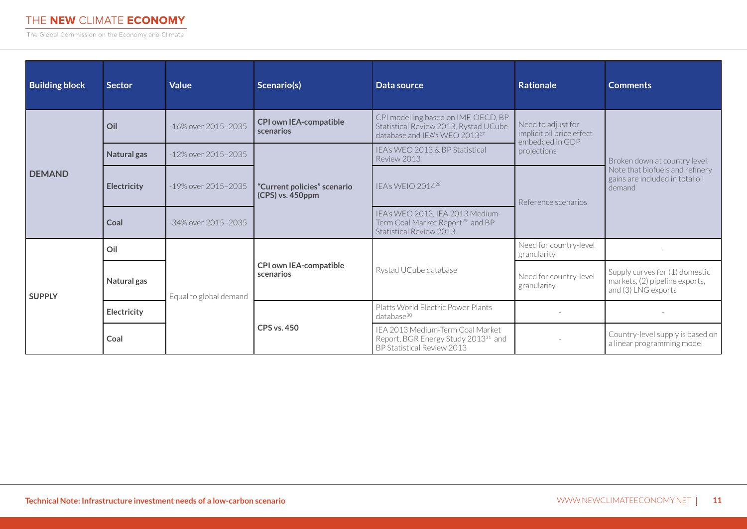The Global Commission on the Economy and Climate

| <b>Building block</b> | <b>Sector</b>      | <b>Value</b>               | Scenario(s)                                     | Data source                                                                                                                | <b>Rationale</b>                                                                  | <b>Comments</b>                                                                                               |
|-----------------------|--------------------|----------------------------|-------------------------------------------------|----------------------------------------------------------------------------------------------------------------------------|-----------------------------------------------------------------------------------|---------------------------------------------------------------------------------------------------------------|
| <b>DEMAND</b>         | Oil                | -16% over 2015-2035        | <b>CPI own IEA-compatible</b><br>scenarios      | CPI modelling based on IMF, OECD, BP<br>Statistical Review 2013, Rystad UCube<br>database and IEA's WEO 2013 <sup>27</sup> | Need to adjust for<br>implicit oil price effect<br>embedded in GDP<br>projections | Broken down at country level.<br>Note that biofuels and refinery<br>gains are included in total oil<br>demand |
|                       | Natural gas        | -12% over 2015-2035        | "Current policies" scenario<br>(CPS) vs. 450ppm | IEA's WEO 2013 & BP Statistical<br>Review 2013                                                                             |                                                                                   |                                                                                                               |
|                       | <b>Electricity</b> | -19% over 2015-2035        |                                                 | IFA's WFIO 2014 <sup>28</sup>                                                                                              | Reference scenarios                                                               |                                                                                                               |
|                       | Coal               | $-34\%$ over $2015 - 2035$ |                                                 | IEA's WEO 2013, IEA 2013 Medium-<br>Term Coal Market Report <sup>29</sup> and BP<br>Statistical Review 2013                |                                                                                   |                                                                                                               |
| <b>SUPPLY</b>         | Oil                | Equal to global demand     | <b>CPI own IEA-compatible</b><br>scenarios      | Rystad UCube database                                                                                                      | Need for country-level<br>granularity                                             |                                                                                                               |
|                       | Natural gas        |                            |                                                 |                                                                                                                            | Need for country-level<br>granularity                                             | Supply curves for (1) domestic<br>markets, (2) pipeline exports,<br>and (3) LNG exports                       |
|                       | Electricity        |                            | <b>CPS vs. 450</b>                              | Platts World Electric Power Plants<br>$database^{30}$                                                                      |                                                                                   |                                                                                                               |
|                       | Coal               |                            |                                                 | IEA 2013 Medium-Term Coal Market<br>Report, BGR Energy Study 2013 <sup>31</sup> and<br>BP Statistical Review 2013          |                                                                                   | Country-level supply is based on<br>a linear programming model                                                |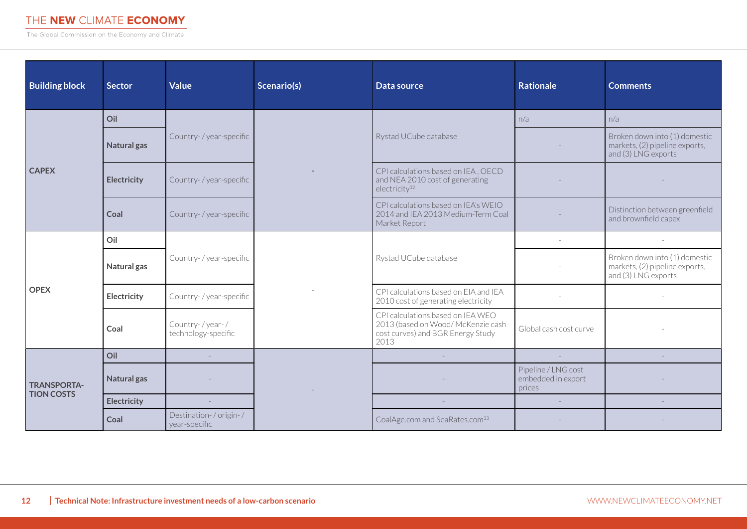The Global Commission on the Economy and Climate

| <b>Building block</b>                   | <b>Sector</b> | <b>Value</b>                           | Scenario(s) | Data source                                                                                                          | <b>Rationale</b>                                    | <b>Comments</b>                                                                        |
|-----------------------------------------|---------------|----------------------------------------|-------------|----------------------------------------------------------------------------------------------------------------------|-----------------------------------------------------|----------------------------------------------------------------------------------------|
| <b>CAPEX</b>                            | Oil           | Country-/year-specific                 |             | Rystad UCube database                                                                                                | n/a                                                 | n/a                                                                                    |
|                                         | Natural gas   |                                        |             |                                                                                                                      |                                                     | Broken down into (1) domestic<br>markets, (2) pipeline exports,<br>and (3) LNG exports |
|                                         | Electricity   | Country- / year-specific               |             | CPI calculations based on IEA, OECD<br>and NEA 2010 cost of generating<br>electricity <sup>32</sup>                  |                                                     |                                                                                        |
|                                         | Coal          | Country-/year-specific                 |             | CPI calculations based on IEA's WEIO<br>2014 and IEA 2013 Medium-Term Coal<br>Market Report                          |                                                     | Distinction between greenfield<br>and brownfield capex                                 |
|                                         | Oil           | Country-/year-specific                 |             | Rystad UCube database                                                                                                |                                                     |                                                                                        |
| <b>OPEX</b>                             | Natural gas   |                                        |             |                                                                                                                      |                                                     | Broken down into (1) domestic<br>markets, (2) pipeline exports,<br>and (3) LNG exports |
|                                         | Electricity   | Country-/year-specific                 |             | CPI calculations based on EIA and IEA<br>2010 cost of generating electricity                                         |                                                     |                                                                                        |
|                                         | Coal          | Country-/year-/<br>technology-specific |             | CPI calculations based on IEA WEO<br>2013 (based on Wood/ McKenzie cash<br>cost curves) and BGR Energy Study<br>2013 | Global cash cost curve                              |                                                                                        |
|                                         | Oil           |                                        |             | $\sim$                                                                                                               | $\sim$                                              |                                                                                        |
| <b>TRANSPORTA-</b><br><b>TION COSTS</b> | Natural gas   |                                        |             |                                                                                                                      | Pipeline / LNG cost<br>embedded in export<br>prices |                                                                                        |
|                                         | Electricity   |                                        |             |                                                                                                                      | $\sim$                                              |                                                                                        |
|                                         | Coal          | Destination-/origin-/<br>year-specific |             | CoalAge.com and SeaRates.com <sup>33</sup>                                                                           |                                                     |                                                                                        |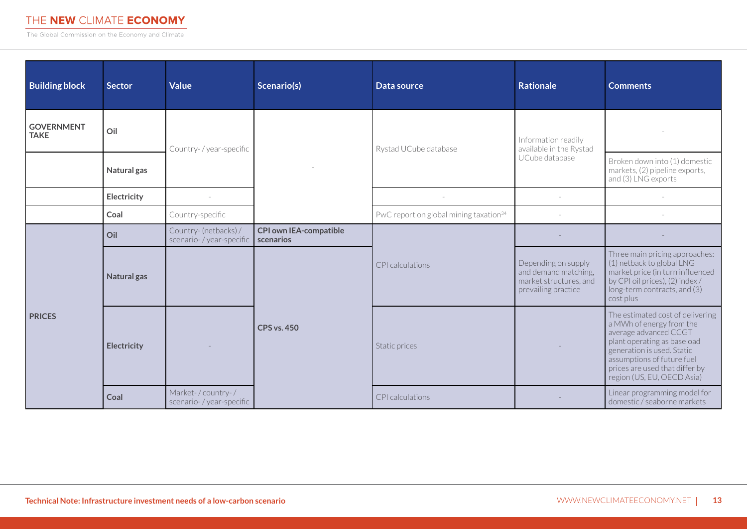The Global Commission on the Economy and Climate

| <b>Building block</b>            | <b>Sector</b> | <b>Value</b>                                       | Scenario(s)                                                      | Data source                                        | <b>Rationale</b>                                                                             | <b>Comments</b>                                                                                                                                                                                                                                  |
|----------------------------------|---------------|----------------------------------------------------|------------------------------------------------------------------|----------------------------------------------------|----------------------------------------------------------------------------------------------|--------------------------------------------------------------------------------------------------------------------------------------------------------------------------------------------------------------------------------------------------|
| <b>GOVERNMENT</b><br><b>TAKE</b> | Oil           | Country-/year-specific                             |                                                                  | Rystad UCube database                              | Information readily<br>available in the Rystad<br>UCube database                             |                                                                                                                                                                                                                                                  |
|                                  | Natural gas   |                                                    |                                                                  |                                                    |                                                                                              | Broken down into (1) domestic<br>markets, (2) pipeline exports,<br>and (3) LNG exports                                                                                                                                                           |
|                                  | Electricity   |                                                    |                                                                  |                                                    |                                                                                              |                                                                                                                                                                                                                                                  |
|                                  | Coal          | Country-specific                                   |                                                                  | PwC report on global mining taxation <sup>34</sup> |                                                                                              |                                                                                                                                                                                                                                                  |
| <b>PRICES</b>                    | Oil           | Country- (netbacks) /<br>scenario- / year-specific | <b>CPI own IEA-compatible</b><br>scenarios<br><b>CPS vs. 450</b> | CPI calculations                                   |                                                                                              |                                                                                                                                                                                                                                                  |
|                                  | Natural gas   |                                                    |                                                                  |                                                    | Depending on supply<br>and demand matching,<br>market structures, and<br>prevailing practice | Three main pricing approaches:<br>(1) netback to global LNG<br>market price (in turn influenced<br>by CPI oil prices), (2) index /<br>long-term contracts, and (3)<br>cost plus                                                                  |
|                                  | Electricity   |                                                    |                                                                  | Static prices                                      |                                                                                              | The estimated cost of delivering<br>a MWh of energy from the<br>average advanced CCGT<br>plant operating as baseload<br>generation is used. Static<br>assumptions of future fuel<br>prices are used that differ by<br>region (US, EU, OECD Asia) |
|                                  | Coal          | Market-/country-/<br>scenario- / year-specific     |                                                                  | CPI calculations                                   |                                                                                              | Linear programming model for<br>domestic / seaborne markets                                                                                                                                                                                      |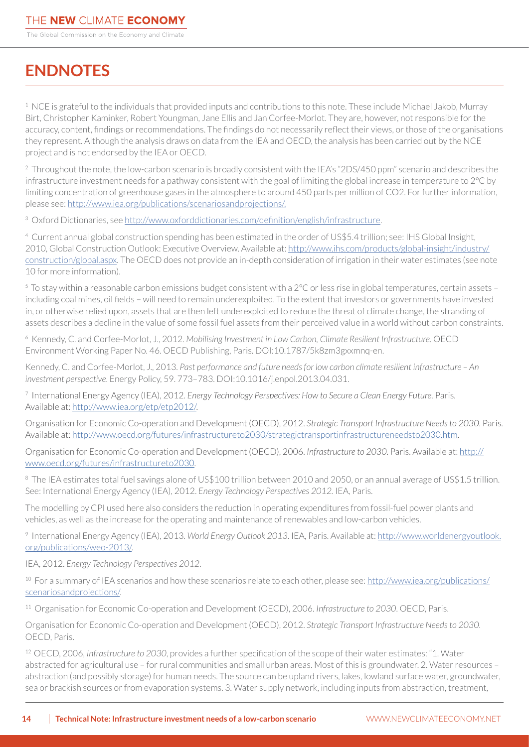# **ENDNOTES**

<sup>1</sup> NCE is grateful to the individuals that provided inputs and contributions to this note. These include Michael Jakob, Murray Birt, Christopher Kaminker, Robert Youngman, Jane Ellis and Jan Corfee-Morlot. They are, however, not responsible for the accuracy, content, findings or recommendations. The findings do not necessarily reflect their views, or those of the organisations they represent. Although the analysis draws on data from the IEA and OECD, the analysis has been carried out by the NCE project and is not endorsed by the IEA or OECD.

<sup>2</sup> Throughout the note, the low-carbon scenario is broadly consistent with the IEA's "2DS/450 ppm" scenario and describes the infrastructure investment needs for a pathway consistent with the goal of limiting the global increase in temperature to 2°C by limiting concentration of greenhouse gases in the atmosphere to around 450 parts per million of CO2. For further information, please see: [http://www.iea.org/publications/scenariosandprojections/.](http://www.iea.org/publications/scenariosandprojections/)

<sup>3</sup> Oxford Dictionaries, see<http://www.oxforddictionaries.com/definition/english/infrastructure>.

4 Current annual global construction spending has been estimated in the order of US\$5.4 trillion; see: IHS Global Insight, 2010, Global Construction Outlook: Executive Overview. Available at: [http://www.ihs.com/products/global-insight/industry/](http://www.ihs.com/products/global-insight/industry/construction/global.aspx) [construction/global.aspx.](http://www.ihs.com/products/global-insight/industry/construction/global.aspx) The OECD does not provide an in-depth consideration of irrigation in their water estimates (see note 10 for more information).

5 To stay within a reasonable carbon emissions budget consistent with a 2°C or less rise in global temperatures, certain assets – including coal mines, oil fields – will need to remain underexploited. To the extent that investors or governments have invested in, or otherwise relied upon, assets that are then left underexploited to reduce the threat of climate change, the stranding of assets describes a decline in the value of some fossil fuel assets from their perceived value in a world without carbon constraints.

6 Kennedy, C. and Corfee-Morlot, J., 2012. *Mobilising Investment in Low Carbon, Climate Resilient Infrastructure.* OECD Environment Working Paper No. 46. OECD Publishing, Paris. DOI:10.1787/5k8zm3gxxmnq-en.

Kennedy, C. and Corfee-Morlot, J., 2013. *Past performance and future needs for low carbon climate resilient infrastructure – An investment perspective*. Energy Policy, 59. 773–783. DOI:10.1016/j.enpol.2013.04.031.

7 International Energy Agency (IEA), 2012. *Energy Technology Perspectives: How to Secure a Clean Energy Future.* Paris. Available at: [http://www.iea.org/etp/etp2012/.](http://www.iea.org/etp/etp2012/)

Organisation for Economic Co-operation and Development (OECD), 2012. *Strategic Transport Infrastructure Needs to 2030*. Paris. Available at:<http://www.oecd.org/futures/infrastructureto2030/strategictransportinfrastructureneedsto2030.htm>.

Organisation for Economic Co-operation and Development (OECD), 2006. *Infrastructure to 2030*. Paris. Available at: [http://](http://www.oecd.org/futures/infrastructureto2030) [www.oecd.org/futures/infrastructureto2030.](http://www.oecd.org/futures/infrastructureto2030)

<sup>8</sup> The IEA estimates total fuel savings alone of US\$100 trillion between 2010 and 2050, or an annual average of US\$1.5 trillion. See: International Energy Agency (IEA), 2012. *Energy Technology Perspectives 2012.* IEA, Paris.

The modelling by CPI used here also considers the reduction in operating expenditures from fossil-fuel power plants and vehicles, as well as the increase for the operating and maintenance of renewables and low-carbon vehicles.

9 International Energy Agency (IEA), 2013. *World Energy Outlook 2013*. IEA, Paris. Available at: [http://www.worldenergyoutlook.](http://www.worldenergyoutlook.org/publications/weo-2013/) [org/publications/weo-2013/](http://www.worldenergyoutlook.org/publications/weo-2013/).

IEA, 2012. *Energy Technology Perspectives 2012*.

<sup>10</sup> For a summary of IEA scenarios and how these scenarios relate to each other, please see: [http://www.iea.org/publications/](http://www.iea.org/publications/scenariosandprojections/) [scenariosandprojections/.](http://www.iea.org/publications/scenariosandprojections/)

11 Organisation for Economic Co-operation and Development (OECD), 2006. *Infrastructure to 2030*. OECD, Paris.

Organisation for Economic Co-operation and Development (OECD), 2012. *Strategic Transport Infrastructure Needs to 2030*. OECD, Paris.

12 OECD, 2006, *Infrastructure to 2030*, provides a further specification of the scope of their water estimates: "1. Water abstracted for agricultural use – for rural communities and small urban areas. Most of this is groundwater. 2. Water resources – abstraction (and possibly storage) for human needs. The source can be upland rivers, lakes, lowland surface water, groundwater, sea or brackish sources or from evaporation systems. 3. Water supply network, including inputs from abstraction, treatment,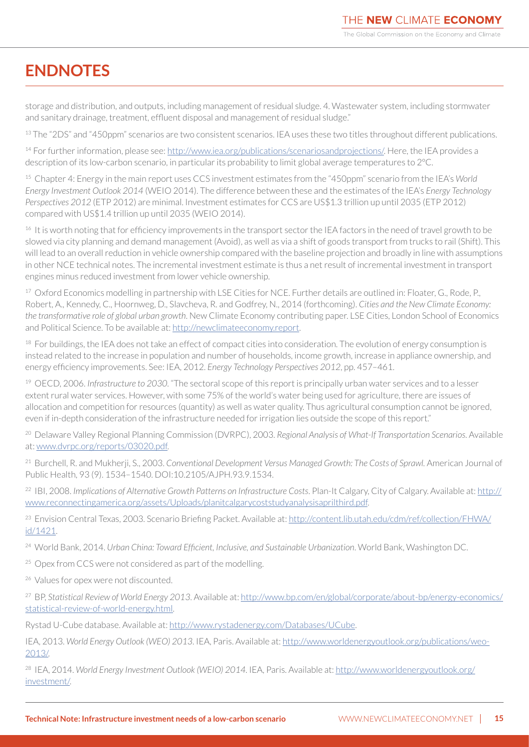# **ENDNOTES**

storage and distribution, and outputs, including management of residual sludge. 4. Wastewater system, including stormwater and sanitary drainage, treatment, effluent disposal and management of residual sludge."

<sup>13</sup> The "2DS" and "450ppm" scenarios are two consistent scenarios. IEA uses these two titles throughout different publications.

14 For further information, please see:<http://www.iea.org/publications/scenariosandprojections/>. Here, the IEA provides a description of its low-carbon scenario, in particular its probability to limit global average temperatures to 2°C.

15 Chapter 4: Energy in the main report uses CCS investment estimates from the "450ppm" scenario from the IEA's *World Energy Investment Outlook 2014* (WEIO 2014). The difference between these and the estimates of the IEA's *Energy Technology Perspectives 2012* (ETP 2012) are minimal. Investment estimates for CCS are US\$1.3 trillion up until 2035 (ETP 2012) compared with US\$1.4 trillion up until 2035 (WEIO 2014).

<sup>16</sup> It is worth noting that for efficiency improvements in the transport sector the IEA factors in the need of travel growth to be slowed via city planning and demand management (Avoid), as well as via a shift of goods transport from trucks to rail (Shift). This will lead to an overall reduction in vehicle ownership compared with the baseline projection and broadly in line with assumptions in other NCE technical notes. The incremental investment estimate is thus a net result of incremental investment in transport engines minus reduced investment from lower vehicle ownership.

<sup>17</sup> Oxford Economics modelling in partnership with LSE Cities for NCE. Further details are outlined in: Floater, G., Rode, P., Robert, A., Kennedy, C., Hoornweg, D., Slavcheva, R. and Godfrey, N., 2014 (forthcoming). *Cities and the New Climate Economy: the transformative role of global urban growth*. New Climate Economy contributing paper. LSE Cities, London School of Economics and Political Science. To be available at: [http://newclimateeconomy.report.](http://newclimateeconomy.report)

<sup>18</sup> For buildings, the IEA does not take an effect of compact cities into consideration. The evolution of energy consumption is instead related to the increase in population and number of households, income growth, increase in appliance ownership, and energy efficiency improvements. See: IEA, 2012. *Energy Technology Perspectives 2012*, pp. 457–461.

19 OECD, 2006. *Infrastructure to 2030*. "The sectoral scope of this report is principally urban water services and to a lesser extent rural water services. However, with some 75% of the world's water being used for agriculture, there are issues of allocation and competition for resources (quantity) as well as water quality. Thus agricultural consumption cannot be ignored, even if in-depth consideration of the infrastructure needed for irrigation lies outside the scope of this report."

20 Delaware Valley Regional Planning Commission (DVRPC), 2003. *Regional Analysis of What-If Transportation Scenarios*. Available at:<www.dvrpc.org/reports/03020.pdf>.

21 Burchell, R. and Mukherji, S., 2003. *Conventional Development Versus Managed Growth: The Costs of Sprawl.* American Journal of Public Health, 93 (9). 1534–1540. DOI:10.2105/AJPH.93.9.1534.

22 IBI, 2008. *Implications of Alternative Growth Patterns on Infrastructure Costs*. Plan-It Calgary, City of Calgary. Available at: [http://](http://www.reconnectingamerica.org/assets/Uploads/planitcalgarycoststudyanalysisaprilthird.pdf) [www.reconnectingamerica.org/assets/Uploads/planitcalgarycoststudyanalysisaprilthird.pdf.](http://www.reconnectingamerica.org/assets/Uploads/planitcalgarycoststudyanalysisaprilthird.pdf)

23 Envision Central Texas, 2003. Scenario Briefing Packet. Available at: [http://content.lib.utah.edu/cdm/ref/collection/FHWA/](http://content.lib.utah.edu/cdm/ref/collection/FHWA/id/1421) [id/1421.](http://content.lib.utah.edu/cdm/ref/collection/FHWA/id/1421)

<sup>24</sup> World Bank, 2014. *Urban China: Toward Efficient, Inclusive, and Sustainable Urbanization*. World Bank, Washington DC.

<sup>25</sup> Opex from CCS were not considered as part of the modelling.

26 Values for opex were not discounted.

27 BP, *Statistical Review of World Energy 2013*. Available at: [http://www.bp.com/en/global/corporate/about-bp/energy-economics/](http://www.bp.com/en/global/corporate/about-bp/energy-economics/statistical-review-of-world-energy.html) [statistical-review-of-world-energy.html.](http://www.bp.com/en/global/corporate/about-bp/energy-economics/statistical-review-of-world-energy.html)

Rystad U-Cube database. Available at: [http://www.rystadenergy.com/Databases/UCube.](http://www.rystadenergy.com/Databases/UCube)

IEA, 2013. *World Energy Outlook (WEO) 2013*. IEA, Paris. Available at: [http://www.worldenergyoutlook.org/publications/weo-](http://www.worldenergyoutlook.org/publications/weo-2013/)[2013/](http://www.worldenergyoutlook.org/publications/weo-2013/).

28 IEA, 2014. *World Energy Investment Outlook (WEIO) 2014*. IEA, Paris. Available at: [http://www.worldenergyoutlook.org/](http://www.worldenergyoutlook.org/investment/) [investment/](http://www.worldenergyoutlook.org/investment/).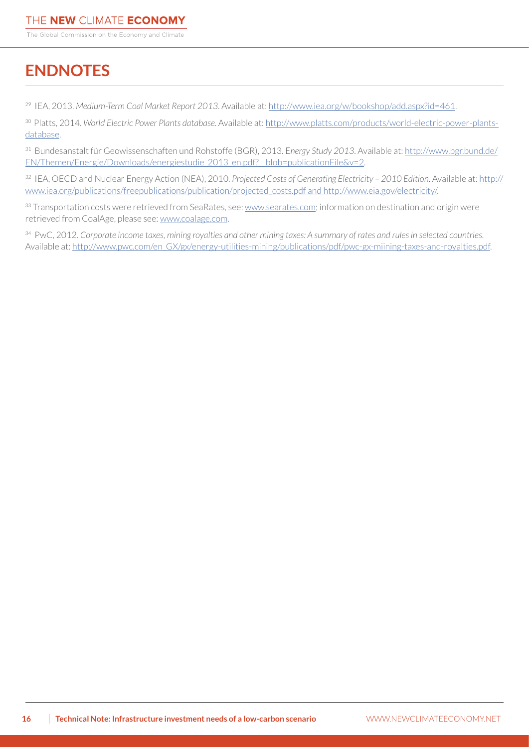# **ENDNOTES**

29 IEA, 2013. *Medium-Term Coal Market Report 2013*. Available at:<http://www.iea.org/w/bookshop/add.aspx?id=461>.

30 Platts, 2014. *World Electric Power Plants database*. Available at: [http://www.platts.com/products/world-electric-power-plants](http://www.platts.com/products/world-electric-power-plants-database)[database.](http://www.platts.com/products/world-electric-power-plants-database)

31 Bundesanstalt für Geowissenschaften und Rohstoffe (BGR), 2013. E*nergy Study 2013*. Available at: [http://www.bgr.bund.de/](http://www.bgr.bund.de/EN/Themen/Energie/Downloads/energiestudie_2013_en.pdf?__blob=publicationFile&v=2) EN/Themen/Energie/Downloads/energiestudie\_2013\_en.pdf?\_blob=publicationFile&v=2.

32 IEA, OECD and Nuclear Energy Action (NEA), 2010. *Projected Costs of Generating Electricity – 2010 Edition*. Available at: [http://](http://www.iea.org/publications/freepublications/publication/projected_costs.pdf and http://www.eia.gov/electricity/) [www.iea.org/publications/freepublications/publication/projected\\_costs.pdf and http://www.eia.gov/electricity/.](http://www.iea.org/publications/freepublications/publication/projected_costs.pdf and http://www.eia.gov/electricity/)

33 Transportation costs were retrieved from SeaRates, see: <www.searates.com>; information on destination and origin were retrieved from CoalAge, please see:<www.coalage.com>.

34 PwC, 2012. *Corporate income taxes, mining royalties and other mining taxes: A summary of rates and rules in selected countries*. Available at: [http://www.pwc.com/en\\_GX/gx/energy-utilities-mining/publications/pdf/pwc-gx-miining-taxes-and-royalties.pdf.](http://www.pwc.com/en_GX/gx/energy-utilities-mining/publications/pdf/pwc-gx-miining-taxes-and-royalties.pdf)